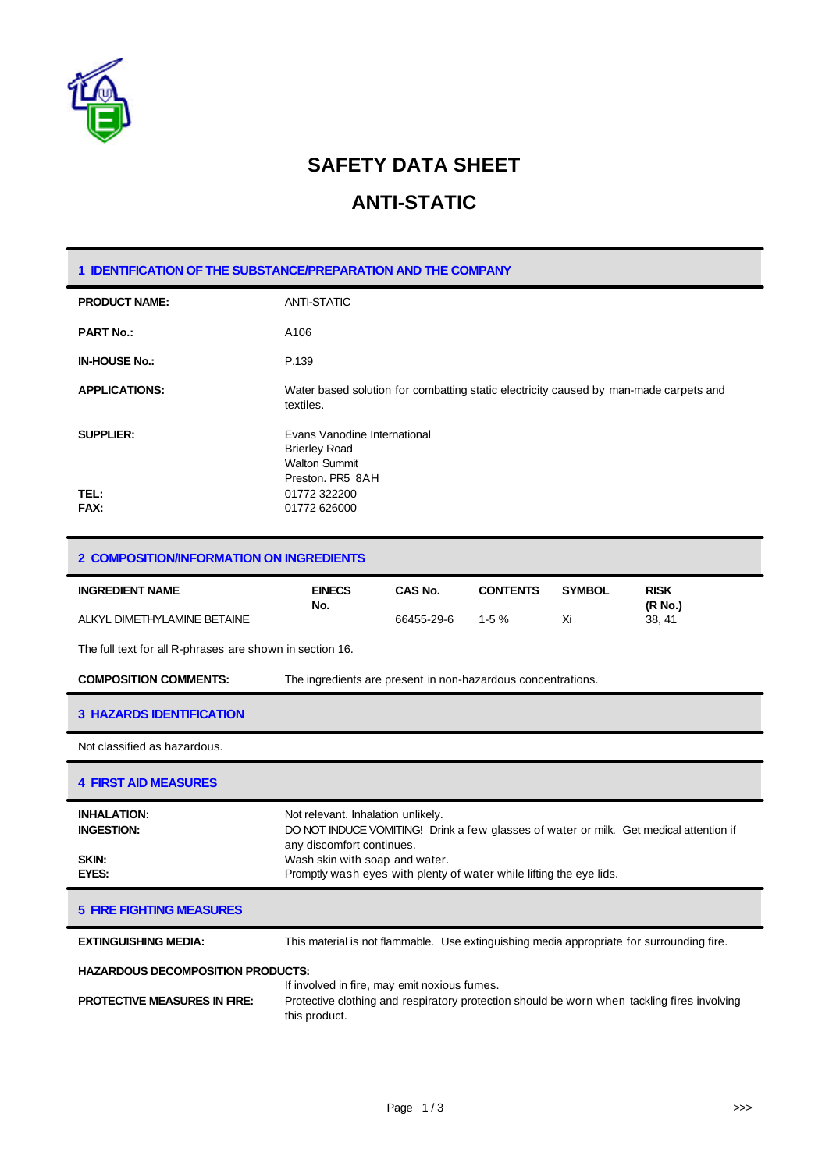

# **SAFETY DATA SHEET**

## **ANTI-STATIC**

| 1 IDENTIFICATION OF THE SUBSTANCE/PREPARATION AND THE COMPANY |                                                                                                    |  |
|---------------------------------------------------------------|----------------------------------------------------------------------------------------------------|--|
| <b>PRODUCT NAME:</b>                                          | <b>ANTI-STATIC</b>                                                                                 |  |
| <b>PART No.:</b>                                              | A106                                                                                               |  |
| <b>IN-HOUSE No.:</b>                                          | P.139                                                                                              |  |
| <b>APPLICATIONS:</b>                                          | Water based solution for combatting static electricity caused by man-made carpets and<br>textiles. |  |
| <b>SUPPLIER:</b>                                              | Evans Vanodine International<br><b>Brierley Road</b><br><b>Walton Summit</b><br>Preston, PR5 8AH   |  |
| TEL:<br>FAX:                                                  | 01772 322200<br>01772 626000                                                                       |  |

#### **2 COMPOSITION/INFORMATION ON INGREDIENTS**

| <b>INGREDIENT NAME</b>      | <b>EINECS</b> | CAS No.    | <b>CONTENTS</b> | <b>SYMBOL</b> | <b>RISK</b> |
|-----------------------------|---------------|------------|-----------------|---------------|-------------|
|                             | No.           |            |                 |               | (R No.)     |
| ALKYL DIMETHYLAMINE BETAINE |               | 66455-29-6 | 1-5 $%$         | Xi            | 38.41       |

The full text for all R-phrases are shown in section 16.

**COMPOSITION COMMENTS:** The ingredients are present in non-hazardous concentrations.

### **3 HAZARDS IDENTIFICATION**

Not classified as hazardous.

#### **4 FIRST AID MEASURES**

| <b>INHALATION:</b><br><b>INGESTION:</b> | Not relevant. Inhalation unlikely.<br>DO NOT INDUCE VOMITING! Drink a few glasses of water or milk. Get medical attention if<br>any discomfort continues. |
|-----------------------------------------|-----------------------------------------------------------------------------------------------------------------------------------------------------------|
| SKIN:                                   | Wash skin with soap and water.                                                                                                                            |
| EYES:                                   | Promptly wash eyes with plenty of water while lifting the eye lids.                                                                                       |

### **5 FIRE FIGHTING MEASURES**

**EXTINGUISHING MEDIA:** This material is not flammable. Use extinguishing media appropriate for surrounding fire.

## **HAZARDOUS DECOMPOSITION PRODUCTS:**

|                                     | If involved in fire, may emit noxious fumes.                                                                 |  |
|-------------------------------------|--------------------------------------------------------------------------------------------------------------|--|
| <b>PROTECTIVE MEASURES IN FIRE:</b> | Protective clothing and respiratory protection should be worn when tackling fires involving<br>this product. |  |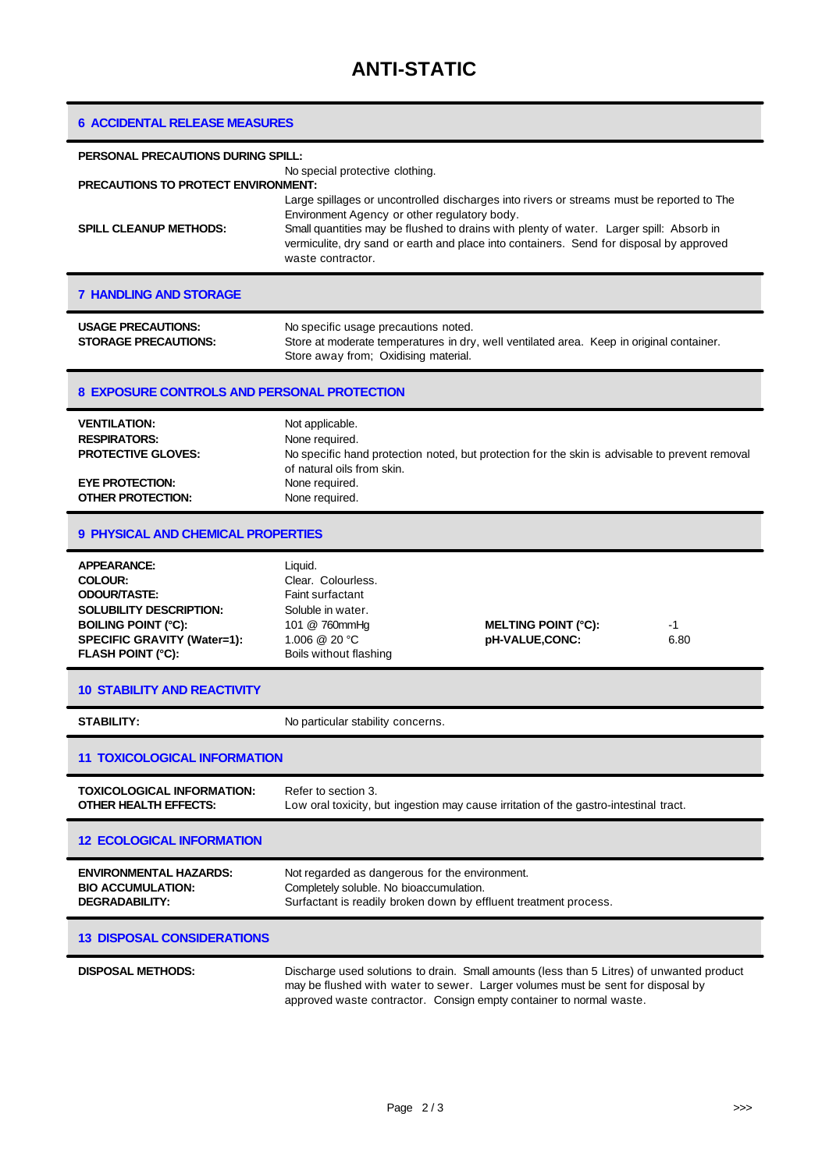| <b>6 ACCIDENTAL RELEASE MEASURES</b>                                                                                                                                                   |                                                                                                                                                                                                                                                                                                                                                      |  |  |  |
|----------------------------------------------------------------------------------------------------------------------------------------------------------------------------------------|------------------------------------------------------------------------------------------------------------------------------------------------------------------------------------------------------------------------------------------------------------------------------------------------------------------------------------------------------|--|--|--|
| PERSONAL PRECAUTIONS DURING SPILL:                                                                                                                                                     |                                                                                                                                                                                                                                                                                                                                                      |  |  |  |
| <b>PRECAUTIONS TO PROTECT ENVIRONMENT:</b>                                                                                                                                             | No special protective clothing.                                                                                                                                                                                                                                                                                                                      |  |  |  |
| <b>SPILL CLEANUP METHODS:</b>                                                                                                                                                          | Large spillages or uncontrolled discharges into rivers or streams must be reported to The<br>Environment Agency or other regulatory body.<br>Small quantities may be flushed to drains with plenty of water. Larger spill: Absorb in<br>vermiculite, dry sand or earth and place into containers. Send for disposal by approved<br>waste contractor. |  |  |  |
| <b>7 HANDLING AND STORAGE</b>                                                                                                                                                          |                                                                                                                                                                                                                                                                                                                                                      |  |  |  |
| <b>USAGE PRECAUTIONS:</b><br><b>STORAGE PRECAUTIONS:</b>                                                                                                                               | No specific usage precautions noted.<br>Store at moderate temperatures in dry, well ventilated area. Keep in original container.<br>Store away from; Oxidising material.                                                                                                                                                                             |  |  |  |
| 8 EXPOSURE CONTROLS AND PERSONAL PROTECTION                                                                                                                                            |                                                                                                                                                                                                                                                                                                                                                      |  |  |  |
| <b>VENTILATION:</b><br><b>RESPIRATORS:</b><br><b>PROTECTIVE GLOVES:</b><br><b>EYE PROTECTION:</b><br><b>OTHER PROTECTION:</b>                                                          | Not applicable.<br>None required.<br>No specific hand protection noted, but protection for the skin is advisable to prevent removal<br>of natural oils from skin.<br>None required.<br>None required.                                                                                                                                                |  |  |  |
| <b>9 PHYSICAL AND CHEMICAL PROPERTIES</b>                                                                                                                                              |                                                                                                                                                                                                                                                                                                                                                      |  |  |  |
| <b>APPEARANCE:</b><br><b>COLOUR:</b><br><b>ODOUR/TASTE:</b><br><b>SOLUBILITY DESCRIPTION:</b><br><b>BOILING POINT (°C):</b><br>SPECIFIC GRAVITY (Water=1):<br><b>FLASH POINT (°C):</b> | Liquid.<br>Clear. Colourless.<br><b>Faint surfactant</b><br>Soluble in water.<br>101 @ 760mmHg<br><b>MELTING POINT (°C):</b><br>-1<br>1.006 @ 20 °C<br>pH-VALUE,CONC:<br>6.80<br>Boils without flashing                                                                                                                                              |  |  |  |
| <b>10 STABILITY AND REACTIVITY</b>                                                                                                                                                     |                                                                                                                                                                                                                                                                                                                                                      |  |  |  |
| <b>STABILITY:</b>                                                                                                                                                                      | No particular stability concerns.                                                                                                                                                                                                                                                                                                                    |  |  |  |
| <b>11 TOXICOLOGICAL INFORMATION</b>                                                                                                                                                    |                                                                                                                                                                                                                                                                                                                                                      |  |  |  |
| <b>TOXICOLOGICAL INFORMATION:</b><br><b>OTHER HEALTH EFFECTS:</b>                                                                                                                      | Refer to section 3.<br>Low oral toxicity, but ingestion may cause irritation of the gastro-intestinal tract.                                                                                                                                                                                                                                         |  |  |  |
| <b>12 ECOLOGICAL INFORMATION</b>                                                                                                                                                       |                                                                                                                                                                                                                                                                                                                                                      |  |  |  |
| <b>ENVIRONMENTAL HAZARDS:</b><br><b>BIO ACCUMULATION:</b><br><b>DEGRADABILITY:</b>                                                                                                     | Not regarded as dangerous for the environment.<br>Completely soluble. No bioaccumulation.<br>Surfactant is readily broken down by effluent treatment process.                                                                                                                                                                                        |  |  |  |
| <b>13 DISPOSAL CONSIDERATIONS</b>                                                                                                                                                      |                                                                                                                                                                                                                                                                                                                                                      |  |  |  |
| <b>DISPOSAL METHODS:</b>                                                                                                                                                               | Discharge used solutions to drain. Small amounts (less than 5 Litres) of unwanted product<br>may be flushed with water to sewer. Larger volumes must be sent for disposal by<br>approved waste contractor. Consign empty container to normal waste.                                                                                                  |  |  |  |